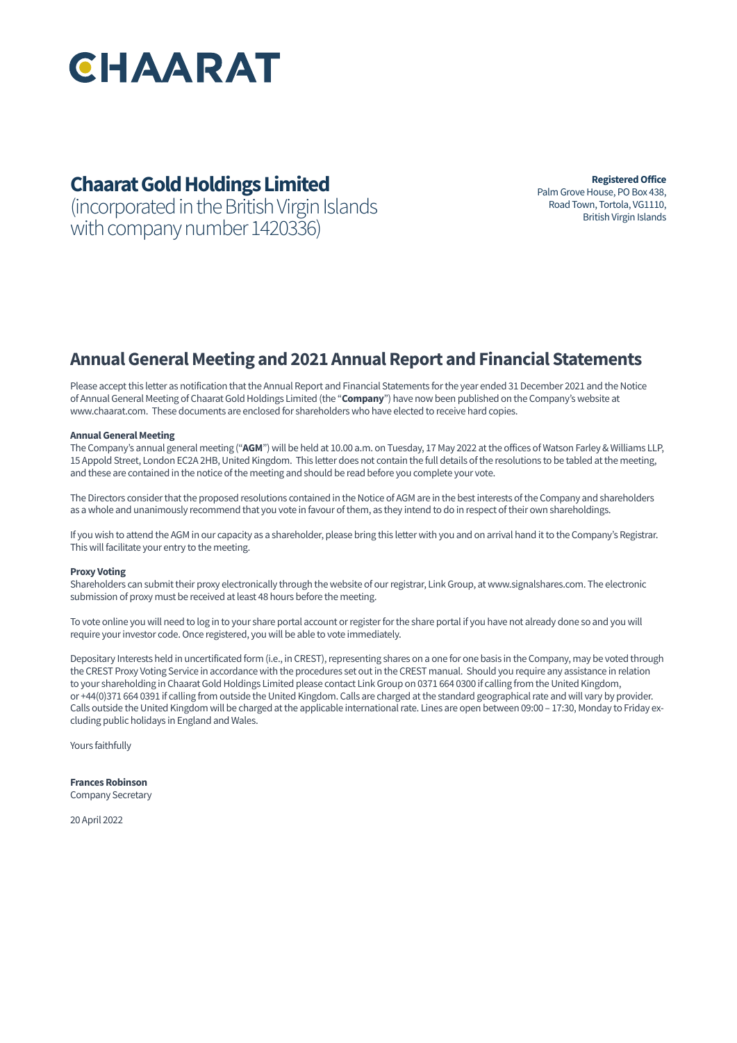

# **Chaarat Gold Holdings Limited**

(incorporated in the British Virgin Islands with company number 1420336)

**Registered Office** Palm Grove House, PO Box 438, Road Town, Tortola, VG1110, British Virgin Islands

# **Annual General Meeting and 2021 Annual Report and Financial Statements**

Please accept this letter as notification that the Annual Report and Financial Statements for the year ended 31 December 2021 and the Notice of Annual General Meeting of Chaarat Gold Holdings Limited (the "**Company**") have now been published on the Company's website at www.chaarat.com. These documents are enclosed for shareholders who have elected to receive hard copies.

### **Annual General Meeting**

The Company's annual general meeting ("**AGM**") will be held at 10.00 a.m. on Tuesday, 17 May 2022 at the offices of Watson Farley & Williams LLP, 15 Appold Street, London EC2A 2HB, United Kingdom. This letter does not contain the full details of the resolutions to be tabled at the meeting, and these are contained in the notice of the meeting and should be read before you complete your vote.

The Directors consider that the proposed resolutions contained in the Notice of AGM are in the best interests of the Company and shareholders as a whole and unanimously recommend that you vote in favour of them, as they intend to do in respect of their own shareholdings.

If you wish to attend the AGM in our capacity as a shareholder, please bring this letter with you and on arrival hand it to the Company's Registrar. This will facilitate your entry to the meeting.

#### **Proxy Voting**

Shareholders can submit their proxy electronically through the website of our registrar, Link Group, at www.signalshares.com. The electronic submission of proxy must be received at least 48 hours before the meeting.

To vote online you will need to log in to your share portal account or register for the share portal if you have not already done so and you will require your investor code. Once registered, you will be able to vote immediately.

Depositary Interests held in uncertificated form (i.e., in CREST), representing shares on a one for one basis in the Company, may be voted through the CREST Proxy Voting Service in accordance with the procedures set out in the CREST manual. Should you require any assistance in relation to your shareholding in Chaarat Gold Holdings Limited please contact Link Group on 0371 664 0300 if calling from the United Kingdom, or +44(0)371 664 0391 if calling from outside the United Kingdom. Calls are charged at the standard geographical rate and will vary by provider. Calls outside the United Kingdom will be charged at the applicable international rate. Lines are open between 09:00 – 17:30, Monday to Friday excluding public holidays in England and Wales.

Yours faithfully

**Frances Robinson** Company Secretary

20 April 2022